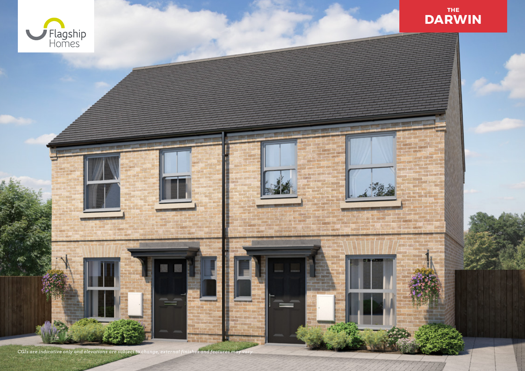